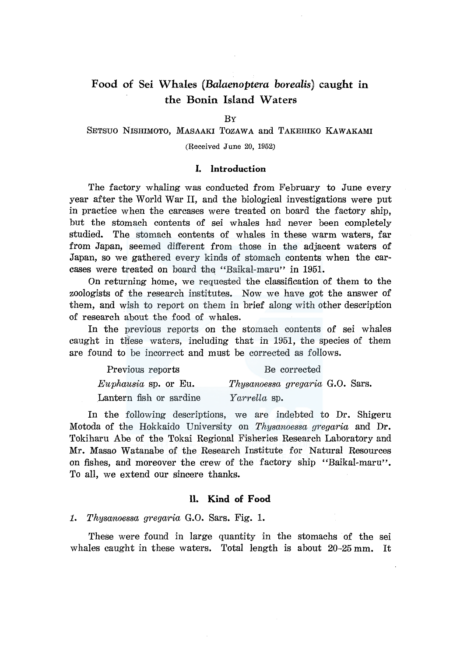# **Food of Sei Whales** *(Balaenoptera borealis)* **caught in the Bonin Island Waters**

### BY

# SETSUO NISHIMOTO, MASAAKI TOZAWA and TAKEHIKO KAWAKAMI

(Received June 20, 1952)

### **I. Introduction**

The factory whaling was conducted from February to June every year after the World War II, and the biological investigations were put in practice when the carcases were treated on board the factory ship, but the stomach contents of sei whales had never been completely studied. The stomach contents of whales in these warm waters, far from Japan; seemed different from those in the adjacent waters of Japan, so we gathered every kinds of stomach contents when the carcases were treated on board the "Baikal-maru" in 1951.

On returning home, we requested the classification of them to the zoologists of the research institutes. Now we have got the answer of them, and wish to report on them in brief along with other description of research about the food of whales.

In the previous reports on the stomach contents of sei whales caught in these waters, including that in 1951, the species of them are found to be incorrect and must be corrected as follows.

| Previous reports        | Be corrected                    |  |
|-------------------------|---------------------------------|--|
| $Euphausia$ sp. or Eu.  | Thysanoessa gregaria G.O. Sars. |  |
| Lantern fish or sardine | <i>Yarrella</i> sp.             |  |

In the following descriptions, we are indebted to Dr. Shigeru Motoda of the Hokkaido University on *Thysanoessa gregaria* and Dr. Tokiharu Abe of the Tokai Regional Fisheries Research Laboratory and Mr. Masao Watanabe of the Research Institute for Natural Resources on fishes, and moreover the crew of the factory ship "Baikal-maru". To all, we extend our sincere thanks.

### **ll. Kind of Food**

*1. Thysanoessa gregaria* G.O. Sars. Fig. **1.** 

These were found in large quantity in the stomachs of the sei whales caught in these waters. Total length is about 20-25 mm. It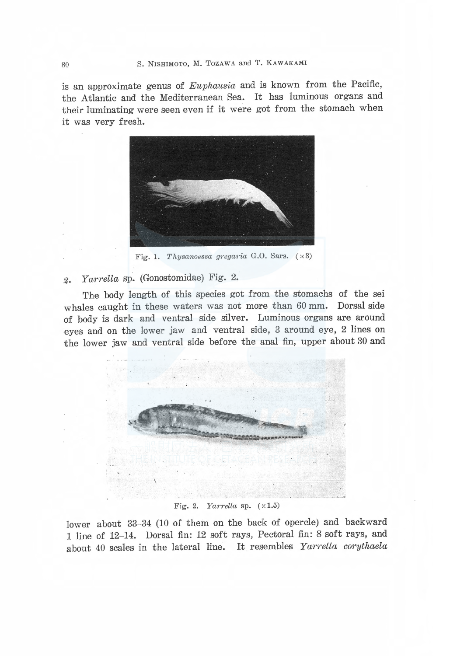is an approximate genus of Euphausia and is known from the Pacific. the Atlantic and the Mediterranean Sea. It has luminous organs and their luminating were seen even if it were got from the stomach when it was very fresh.



Fig. 1. Thysanoessa gregaria G.O. Sars.  $(x3)$ 

#### Yarrella sp. (Gonostomidae) Fig. 2.  $\mathscr{Z}_{\bullet}$

The body length of this species got from the stomachs of the sei whales caught in these waters was not more than 60 mm. Dorsal side of body is dark and ventral side silver. Luminous organs are around eves and on the lower jaw and ventral side, 3 around eye, 2 lines on the lower jaw and ventral side before the anal fin, upper about 30 and



### Fig. 2. Yarrella sp.  $(x1.5)$

lower about 33-34 (10 of them on the back of opercle) and backward 1 line of 12-14. Dorsal fin: 12 soft rays, Pectoral fin: 8 soft rays, and about 40 scales in the lateral line. It resembles Yarrella corythaela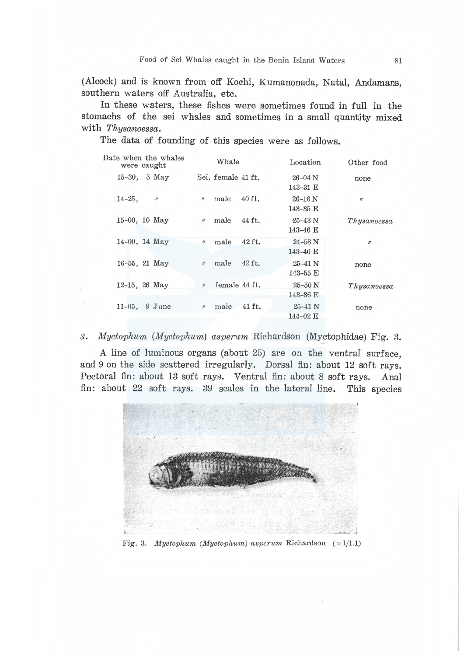(Alcock) and is known from off Kochi, Kumanonada, Natal, Andamans, southern waters off Australia, etc.

In these waters, these fishes were sometimes found in full in the stomachs of the sei whales and sometimes in a small quantity mixed with Thysanoessa.

The data of founding of this species were as follows.

| $15-30$ , 5 May<br>Sei, female 41 ft.<br>$26 - 04$ N<br>none<br>$143 - 31$ E<br>male<br>$40$ ft.<br>$14 - 25$ ,<br>$26-16$ N<br>$\ensuremath{\mathit{II}}$<br>$\mathcal{U}% =\mathcal{U}^{\prime}\left( \mathcal{U}^{\prime}\right) ^{\prime}\mathcal{U}^{\prime}\left( \mathcal{U}^{\prime}\right) ^{\prime}\mathcal{U}^{\prime}\left( \mathcal{U}^{\prime}\right) \mathcal{U}^{\prime}\left( \mathcal{U}^{\prime}\right) \mathcal{U}^{\prime}\left( \mathcal{U}^{\prime}\right) \mathcal{U}^{\prime}\left( \mathcal{U}^{\prime}\right) \mathcal{U}^{\prime}\left( \mathcal{U}^{\prime}\right) \mathcal{U}^{\prime}\left( \mathcal{U}^{\prime}\right) \mathcal{U}^{\prime}\left( \mathcal$<br>$\prime$<br>$143 - 35$ E<br>$15-00$ , 10 May<br>$44$ ft.<br>male<br>$25 - 43$ N<br>$\prime\prime$<br>143-46 E<br>$14-00$ , 14 May<br>42 ft.<br>male<br>$24 - 58$ N<br>$\prime$<br>$\boldsymbol{n}$<br>$143 - 40 \text{ E}$<br>$42$ ft.<br>male<br>$16-55$ , 21 May<br>$\prime$<br>$25 - 41$ N<br>none<br>$143 - 55$ E<br>female 44 ft.<br>$12-15$ , 26 May<br>$25 - 50$ N<br>$\eta$<br>$143 - 36$ E<br>$n$ male 41 ft.<br>$11-05$ , 9 June<br>$25 - 41$ N<br>none<br>$144 - 02$ E | Date when the whales<br>were caught | Whale | Location | Other food  |
|----------------------------------------------------------------------------------------------------------------------------------------------------------------------------------------------------------------------------------------------------------------------------------------------------------------------------------------------------------------------------------------------------------------------------------------------------------------------------------------------------------------------------------------------------------------------------------------------------------------------------------------------------------------------------------------------------------------------------------------------------------------------------------------------------------------------------------------------------------------------------------------------------------------------------------------------------------------------------------------------------------------------------------------------------------------------------------------------------------------------------------------------------------------------------------|-------------------------------------|-------|----------|-------------|
|                                                                                                                                                                                                                                                                                                                                                                                                                                                                                                                                                                                                                                                                                                                                                                                                                                                                                                                                                                                                                                                                                                                                                                                  |                                     |       |          |             |
|                                                                                                                                                                                                                                                                                                                                                                                                                                                                                                                                                                                                                                                                                                                                                                                                                                                                                                                                                                                                                                                                                                                                                                                  |                                     |       |          |             |
|                                                                                                                                                                                                                                                                                                                                                                                                                                                                                                                                                                                                                                                                                                                                                                                                                                                                                                                                                                                                                                                                                                                                                                                  |                                     |       |          | Thysanoessa |
|                                                                                                                                                                                                                                                                                                                                                                                                                                                                                                                                                                                                                                                                                                                                                                                                                                                                                                                                                                                                                                                                                                                                                                                  |                                     |       |          |             |
|                                                                                                                                                                                                                                                                                                                                                                                                                                                                                                                                                                                                                                                                                                                                                                                                                                                                                                                                                                                                                                                                                                                                                                                  |                                     |       |          |             |
|                                                                                                                                                                                                                                                                                                                                                                                                                                                                                                                                                                                                                                                                                                                                                                                                                                                                                                                                                                                                                                                                                                                                                                                  |                                     |       |          | Thysanoessa |
|                                                                                                                                                                                                                                                                                                                                                                                                                                                                                                                                                                                                                                                                                                                                                                                                                                                                                                                                                                                                                                                                                                                                                                                  |                                     |       |          |             |

3. Myctophum (Myctophum) asperum Richardson (Myctophidae) Fig. 3.

A line of luminous organs (about 25) are on the ventral surface, and 9 on the side scattered irregularly. Dorsal fin: about 12 soft rays. Pectoral fin: about 13 soft rays. Ventral fin: about 8 soft rays. Anal fin: about 22 soft rays. 39 scales in the lateral line. This species



Fig. 3. Myctophum (Myctophum) asperum Richardson  $(\times1/1.1)$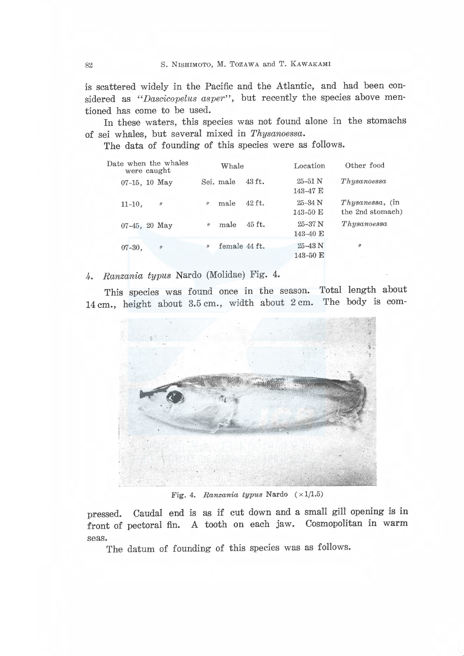is scattered widely in the Pacific and the Atlantic, and had been considered as "Dascicopelus asper", but recently the species above mentioned has come to be used.

In these waters, this species was not found alone in the stomachs of sei whales, but several mixed in Thysanoessa.

The data of founding of this species were as follows.

| Date when the whales<br>were caught |          | Whale         |          | Location                            | Other food                            |
|-------------------------------------|----------|---------------|----------|-------------------------------------|---------------------------------------|
| $07-15$ , 10 May                    |          | Sei. male     | $43$ ft. | $25 - 51$ N<br>143-47 E             | Thus a no ess a                       |
| $11-10$ ,<br>$\eta$                 | $\prime$ | male          | 42 ft.   | $25 - 34$ N<br>$143 - 50 \text{ E}$ | $Thysanesa$ , (in<br>the 2nd stomach) |
| $07-45$ , 20 May                    | $\eta$   | male          | 45 ft.   | $25 - 37$ N<br>143-40 E             | Thysanoessa                           |
| $07 - 30$ ,<br>$\eta$               | $\prime$ | female 44 ft. |          | $25 - 43$ N<br>143-50 E             | $\eta$                                |

4. Ranzania typus Nardo (Molidae) Fig. 4.

This species was found once in the season. Total length about 14 cm., height about 3.5 cm., width about 2 cm. The body is com-



Fig. 4. Ranzania typus Nardo  $(\times 1/1.5)$ 

pressed. Caudal end is as if cut down and a small gill opening is in front of pectoral fin. A tooth on each jaw. Cosmopolitan in warm seas.

The datum of founding of this species was as follows.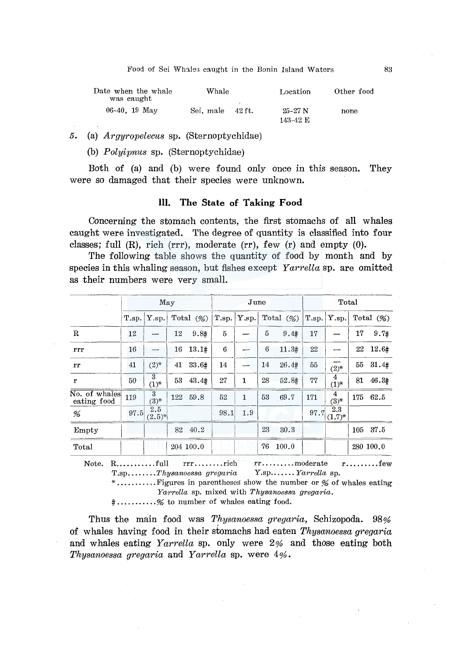Food of Sei Whales caught in the Bonin Island Waters

| Date when the whale<br>was caught | Whale     |                       | Location              | Other food |  |
|-----------------------------------|-----------|-----------------------|-----------------------|------------|--|
| 06-40. $19$ May                   | Sei, male | <b>1999</b><br>42 ft. | $25-27$ N<br>143-42 E | none       |  |

 $5.$ (a) *Arguropelecus* sp. (Sternoptychidae)

(b) *Polyipnus* sp. (Sternoptychidae)

Both of (a) and (b) were found only once in this season. They were so damaged that their species were unknown.

#### III. The State of Taking Food

Concerning the stomach contents, the first stomachs of all whales caught were investigated. The degree of quantity is classified into four classes; full  $(R)$ , rich  $(rrr)$ , moderate  $(rr)$ , few  $(r)$  and empty  $(0)$ .

The following table shows the quantity of food by month and by species in this whaling season, but fishes except Yarrella sp. are omitted as their numbers were very small.

|                              | May   |                             |    |              | June  |       |    |              |       | Total              |     |              |
|------------------------------|-------|-----------------------------|----|--------------|-------|-------|----|--------------|-------|--------------------|-----|--------------|
|                              | T.sp. | Y.sp.                       |    | Total $(\%)$ | T.sp. | Y.sp. |    | Total $(\%)$ | T.sp. | Y.sp.              |     | Total $(\%)$ |
| $\mathbf R$                  | 12    |                             | 12 | 9.8#         | 5     |       | 5  | 9.4#         | 17    |                    | 17  | 9.7#         |
| rrr                          | 16    | ----                        | 16 | 13.1#        | 6     |       | 6  | 11.3#        | 22    |                    | 22  | 12.6#        |
| rr                           | 41    | $(2)^{*}$                   | 41 | 33.6#        | 14    |       | 14 | $26.4*$      | 55    | $(2)^{*}$          | 55  | 31.4#        |
| r                            | 50    | $\overline{3}$<br>$(1)^{*}$ | 53 | 43.4#        | 27    | 1     | 28 | 52.8#        | 77    | 4<br>$(1)^{*}$     | 81  | 46.3#        |
| No. of whales<br>eating food | 119   | $\overline{3}$<br>$(3)^{*}$ |    | 122 59.8     | 52    | 1     | 53 | 69.7         | 171   | 4<br>$(3)^{*}$     | 175 | 62.5         |
| %                            | 97.5  | 2.5<br>$(2.5)^{*}$          |    |              | 98.1  | 1.9   |    |              | 97.7  | 2.3<br>$(1.7)^{*}$ |     |              |
| Empty                        |       |                             | 82 | 40.2         |       |       | 23 | 30.3         |       |                    | 105 | 37.5         |
| Total                        |       |                             |    | 204 100.0    |       |       | 76 | 100.0        |       |                    |     | 280 100.0    |

 $rrr......$  $rr \ldots \ldots \ldots$  moderate r. . . . . . . . . few  $T.\text{sp.}\ldots\ldots.\text{Thysanoessa gregaria}$ Y.sp....... Yarrella sp. Yarrella sp. mixed with Thysanoessa gregaria.

#..........% to number of whales eating food.

Thus the main food was Thysanoessa gregaria, Schizopoda. 98% of whales having food in their stomachs had eaten Thysonoessa gregaria and whales eating  $Yarrella$  sp. only were  $2\%$  and those eating both Thysanoessa gregaria and Yarrella sp. were 4%.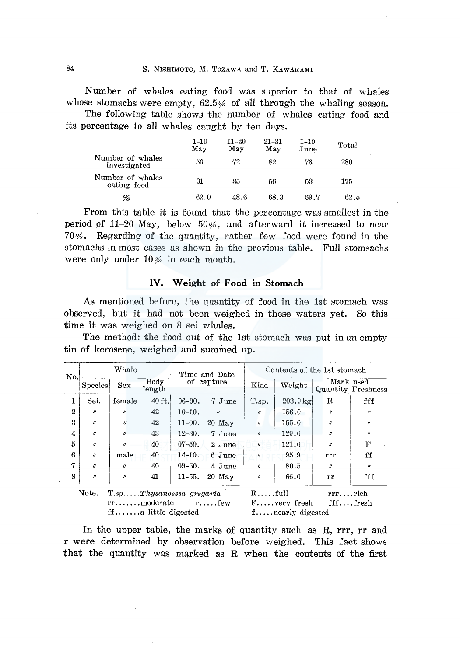Number of whales eating food was superior to that of whales whose stomachs were empty,  $62.5%$  of all through the whaling season.

The following table shows the number of whales eating food and its percentage to all whales caught by ten days.

|                                  | $1 - 10$<br>May | $11 - 20$<br>May | $21 - 31$<br>May | $1 - 10$<br>June | Total |
|----------------------------------|-----------------|------------------|------------------|------------------|-------|
| Number of whales<br>investigated | 50              | 72               | 82               | 76               | 280   |
| Number of whales<br>eating food  | 31              | 35               | 56               | 53               | 175   |
| %                                | 62.0            | 48.6             | 68.3             | 69.7             | 62.5  |

From this table it is found that the percentage was smallest in the period of 11-20 May, below  $50\%$ , and afterward it increased to near 70%. Regarding of the quantity, rather few food were found in the stomachs in most cases as shown in the previous table. Full stomsachs were only under 10% in each month.

### IV. Weight of Food in Stomach

As mentioned before, the quantity of food in the 1st stomach was observed, but it had not been weighed in these waters yet. So this time it was weighed on 8 sei whales.

The method: the food out of the 1st stomach was put in an empty tin of kerosene, weighed and summed up.

| No.          | Whale                 |                     |                                                                                              | Time and Date |                     | Contents of the 1st stomach |                                          |                   |                                 |  |
|--------------|-----------------------|---------------------|----------------------------------------------------------------------------------------------|---------------|---------------------|-----------------------------|------------------------------------------|-------------------|---------------------------------|--|
|              | <b>Species</b>        | Sex                 | Body<br>length                                                                               |               | of capture          | Kind                        | Weight                                   |                   | Mark used<br>Quantity Freshness |  |
| 1            | Sei.                  | female              | 40 ft.                                                                                       | $06 - 00.$    | 7 June              | T.sp.                       | $203.9 \,\mathrm{kg}$                    | R                 | fff                             |  |
| $\mathbf{2}$ | $\boldsymbol{r}$      | $\boldsymbol{v}$    | 42                                                                                           | $10 - 10$ .   | $\boldsymbol{\eta}$ | $\prime$                    | 156.0                                    | n                 | $\boldsymbol{\eta}$             |  |
| 3            | $\boldsymbol{\theta}$ | $\eta$              | 42                                                                                           | $11 - 00.$    | $20$ May            | $\theta$                    | 155.0                                    | $^{\prime\prime}$ | $\boldsymbol{\eta}$             |  |
| 4            | $\boldsymbol{\eta}$   | $\prime$            | 43                                                                                           | $12 - 30.$    | 7 June              | $\theta$                    | 129.0                                    | $\theta$          | $\theta$                        |  |
| 5            | $^{\prime\prime}$     | $\boldsymbol{\eta}$ | 40                                                                                           | $07 - 50$ .   | 2 June              | $\theta$                    | 121.0                                    | $\theta$          | F                               |  |
| 6            | $\prime$              | male                | 40                                                                                           | $14-10$ .     | $6$ June            | $^{\prime\prime}$           | 95.9                                     | rrr               | ff                              |  |
| 7            | $\boldsymbol{u}$      | $\boldsymbol{u}$    | 40                                                                                           | $09 - 50$ .   | 4 June              | $\boldsymbol{\eta}$         | 80.5                                     | $^{\prime\prime}$ | $\boldsymbol{\eta}$             |  |
| 8            | $\boldsymbol{\prime}$ | 11                  | 41                                                                                           | $11 - 55$ .   | $20$ May            | $\boldsymbol{\eta}$         | 66.0                                     | rr                | fff                             |  |
|              | Note.                 |                     | $T.\text{sp} \dots$ Thysanoessa gregaria<br>$rr$ moderate<br>$\mathbf{ff}$ a little digested |               | $r \ldots$ few      | $R$ full                    | $F \dots$ very fresh<br>fnearly digested | $rrr$ rich        | $\operatorname{ff} \dots$ fresh |  |

In the upper table, the marks of quantity such as R, rrr, rr and r were determined by observation before weighed. This fact shows that the quantity was marked as R when the contents of the first